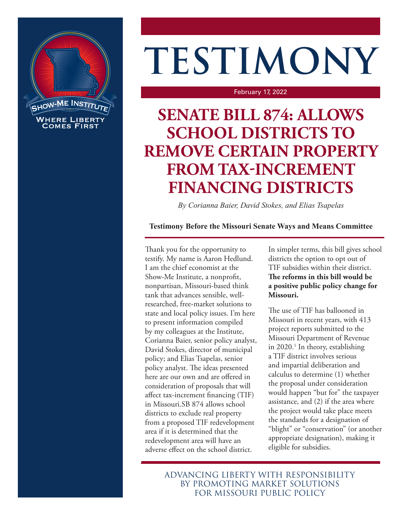

# **TESTIMONY**

February 17, 2022

## **SENATE BILL 874: ALLOWS SCHOOL DISTRICTS TO REMOVE CERTAIN PROPERTY FROM TAX-INCREMENT FINANCING DISTRICTS**

*By Corianna Baier, David Stokes, and Elias Tsapelas*

### **Testimony Before the Missouri Senate Ways and Means Committee**

Thank you for the opportunity to testify. My name is Aaron Hedlund. I am the chief economist at the Show-Me Institute, a nonprofit, nonpartisan, Missouri-based think tank that advances sensible, wellresearched, free-market solutions to state and local policy issues. I'm here to present information compiled by my colleagues at the Institute, Corianna Baier, senior policy analyst, David Stokes, director of municipal policy; and Elias Tsapelas, senior policy analyst. The ideas presented here are our own and are offered in consideration of proposals that will affect tax-increment financing (TIF) in Missouri.SB 874 allows school districts to exclude real property from a proposed TIF redevelopment area if it is determined that the redevelopment area will have an adverse effect on the school district.

In simpler terms, this bill gives school districts the option to opt out of TIF subsidies within their district. **The reforms in this bill would be a positive public policy change for Missouri.** 

The use of TIF has ballooned in Missouri in recent years, with 413 project reports submitted to the Missouri Department of Revenue in 2020.<sup>1</sup> In theory, establishing a TIF district involves serious and impartial deliberation and calculus to determine (1) whether the proposal under consideration would happen "but for" the taxpayer assistance, and (2) if the area where the project would take place meets the standards for a designation of "blight" or "conservation" (or another appropriate designation), making it eligible for subsidies.

ADVANCING LIBERTY WITH RESPONSIBILITY BY PROMOTING MARKET SOLUTIONS FOR MISSOURI PUBLIC POLICY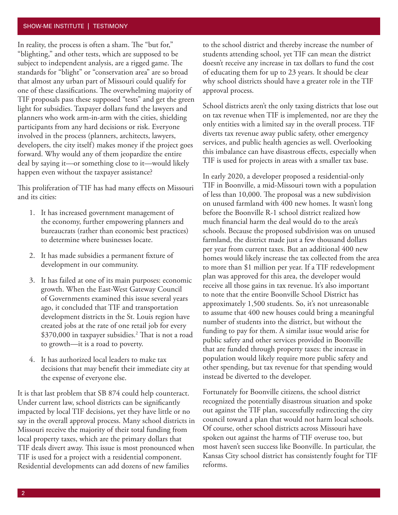#### <span id="page-1-0"></span>SHOW-ME INSTITUTE | TESTIMONY

In reality, the process is often a sham. The "but for," "blighting," and other tests, which are supposed to be subject to independent analysis, are a rigged game. The standards for "blight" or "conservation area" are so broad that almost any urban part of Missouri could qualify for one of these classifications. The overwhelming majority of TIF proposals pass these supposed "tests" and get the green light for subsidies. Taxpayer dollars fund the lawyers and planners who work arm-in-arm with the cities, shielding participants from any hard decisions or risk. Everyone involved in the process (planners, architects, lawyers, developers, the city itself) makes money if the project goes forward. Why would any of them jeopardize the entire deal by saying it—or something close to it—would likely happen even without the taxpayer assistance?

This proliferation of TIF has had many effects on Missouri and its cities:

- 1. It has increased government management of the economy, further empowering planners and bureaucrats (rather than economic best practices) to determine where businesses locate.
- 2. It has made subsidies a permanent fixture of development in our community.
- 3. It has failed at one of its main purposes: economic growth. When the East-West Gateway Council of Governments examined this issue several years ago, it concluded that TIF and transportation development districts in the St. Louis region have created jobs at the rate of one retail job for every \$370,000 in taxpayer subsidies.<sup>[2](#page-2-0)</sup> That is not a road to growth—it is a road to poverty.
- 4. It has authorized local leaders to make tax decisions that may benefit their immediate city at the expense of everyone else.

It is that last problem that SB 874 could help counteract. Under current law, school districts can be significantly impacted by local TIF decisions, yet they have little or no say in the overall approval process. Many school districts in Missouri receive the majority of their total funding from local property taxes, which are the primary dollars that TIF deals divert away. This issue is most pronounced when TIF is used for a project with a residential component. Residential developments can add dozens of new families

to the school district and thereby increase the number of students attending school, yet TIF can mean the district doesn't receive any increase in tax dollars to fund the cost of educating them for up to 23 years. It should be clear why school districts should have a greater role in the TIF approval process.

School districts aren't the only taxing districts that lose out on tax revenue when TIF is implemented, nor are they the only entities with a limited say in the overall process. TIF diverts tax revenue away public safety, other emergency services, and public health agencies as well. Overlooking this imbalance can have disastrous effects, especially when TIF is used for projects in areas with a smaller tax base.

In early 2020, a developer proposed a residential-only TIF in Boonville, a mid-Missouri town with a population of less than 10,000. The proposal was a new subdivision on unused farmland with 400 new homes. It wasn't long before the Boonville R-1 school district realized how much financial harm the deal would do to the area's schools. Because the proposed subdivision was on unused farmland, the district made just a few thousand dollars per year from current taxes. But an additional 400 new homes would likely increase the tax collected from the area to more than \$1 million per year. If a TIF redevelopment plan was approved for this area, the developer would receive all those gains in tax revenue. It's also important to note that the entire Boonville School District has approximately 1,500 students. So, it's not unreasonable to assume that 400 new houses could bring a meaningful number of students into the district, but without the funding to pay for them. A similar issue would arise for public safety and other services provided in Boonville that are funded through property taxes: the increase in population would likely require more public safety and other spending, but tax revenue for that spending would instead be diverted to the developer.

Fortunately for Boonville citizens, the school district recognized the potentially disastrous situation and spoke out against the TIF plan, successfully redirecting the city council toward a plan that would not harm local schools. Of course, other school districts across Missouri have spoken out against the harms of TIF overuse too, but most haven't seen success like Boonville. In particular, the Kansas City school district has consistently fought for TIF reforms.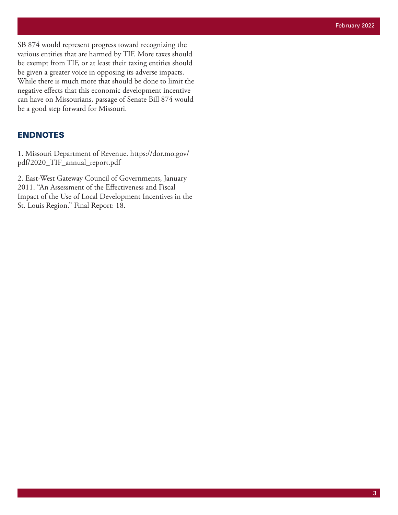<span id="page-2-0"></span>SB 874 would represent progress toward recognizing the various entities that are harmed by TIF. More taxes should be exempt from TIF, or at least their taxing entities should be given a greater voice in opposing its adverse impacts. While there is much more that should be done to limit the negative effects that this economic development incentive can have on Missourians, passage of Senate Bill 874 would be a good step forward for Missouri.

#### ENDNOTES

1. Missouri Department of Revenue. [https://dor.mo.gov/](https://dor.mo.gov/pdf/2020_TIF_annual_report.pdf) [pdf/2020\\_TIF\\_annual\\_report.pdf](https://dor.mo.gov/pdf/2020_TIF_annual_report.pdf)

[2](#page-1-0). East-West Gateway Council of Governments, January 2011. "An Assessment of the Effectiveness and Fiscal Impact of the Use of Local Development Incentives in the St. Louis Region." Final Report: 18.